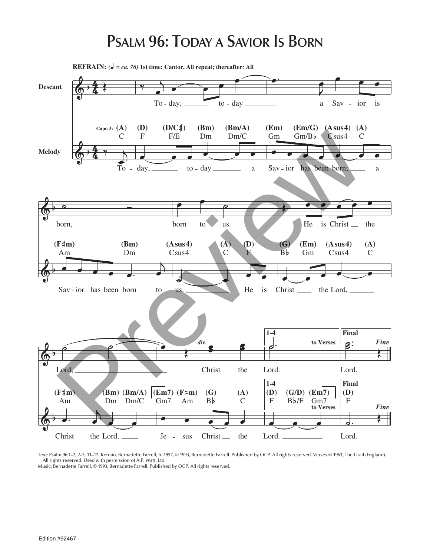## **PSALM 96: TODAY A SAVIOR IS BORN**



Text: Psalm 96:1–2, 2–3, 11–12. Refrain, Bernadette Farrell, b. 1957, © 1993, Bernadette Farrell. Published by OCP. All rights reserved. Verses © 1963, The Grail (England). All rights reserved. Used with permission of A.P. Watt, Ltd.

Music: Bernadette Farrell, © 1993, Bernadette Farrell. Published by OCP. All rights reserved.